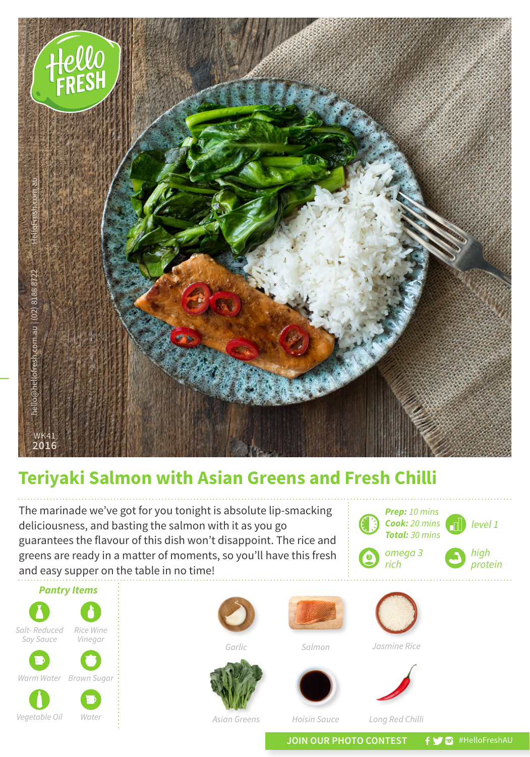

## **Teriyaki Salmon with Asian Greens and Fresh Chilli**

The marinade we've got for you tonight is absolute lip-smacking deliciousness, and basting the salmon with it as you go guarantees the flavour of this dish won't disappoint. The rice and greens are ready in a matter of moments, so you'll have this fresh and easy supper on the table in no time!

*Vegetable Oil*

*Water*





*Asian Greens Hoisin Sauce*

*Long Red Chilli*

JOIN OUR PHOTO CONTEST **fy @** #HelloFreshAU